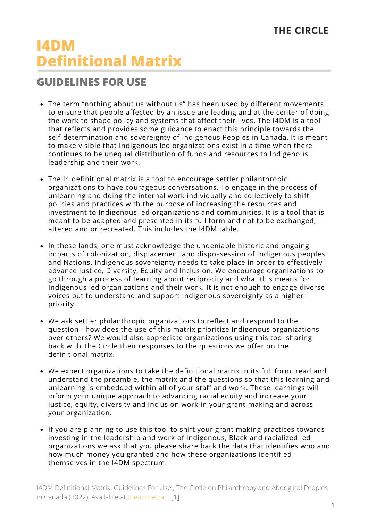## **THE CIRCLE**

## **I4DM Definitional Matrix**

## **GUIDELINES FOR USE**

- The term "nothing about us without us" has been used by different movements to ensure that people affected by an issue are leading and at the center of doing the work to shape policy and systems that affect their lives. The I4DM is a tool that reflects and provides some guidance to enact this principle towards the self-determination and sovereignty of Indigenous Peoples in Canada. It is meant to make visible that Indigenous led organizations exist in a time when there continues to be unequal distribution of funds and resources to Indigenous leadership and their work.
- The I4 definitional matrix is a tool to encourage settler philanthropic organizations to have courageous conversations. To engage in the process of unlearning and doing the internal work individually and collectively to shift policies and practices with the purpose of increasing the resources and investment to Indigenous led organizations and communities. It is a tool that is meant to be adapted and presented in its full form and not to be exchanged, altered and or recreated. This includes the I4DM table.
- In these lands, one must acknowledge the undeniable historic and ongoing impacts of colonization, displacement and dispossession of Indigenous peoples and Nations. Indigenous sovereignty needs to take place in order to effectively advance Justice, Diversity, Equity and Inclusion. We encourage organizations to go through a process of learning about reciprocity and what this means for Indigenous led organizations and their work. It is not enough to engage diverse voices but to understand and support Indigenous sovereignty as a higher priority.
- We ask settler philanthropic organizations to reflect and respond to the question - how does the use of this matrix prioritize Indigenous organizations over others? We would also appreciate organizations using this tool sharing back with The Circle their responses to the questions we offer on the definitional matrix.
- We expect organizations to take the definitional matrix in its full form, read and understand the preamble, the matrix and the questions so that this learning and unlearning is embedded within all of your staff and work. These learnings will inform your unique approach to advancing racial equity and increase your justice, equity, diversity and inclusion work in your grant-making and across your organization.
- If you are planning to use this tool to shift your grant making practices towards investing in the leadership and work of Indigenous, Black and racialized led organizations we ask that you please share back the data that identifies who and how much money you granted and how these organizations identified themselves in the I4DM spectrum.